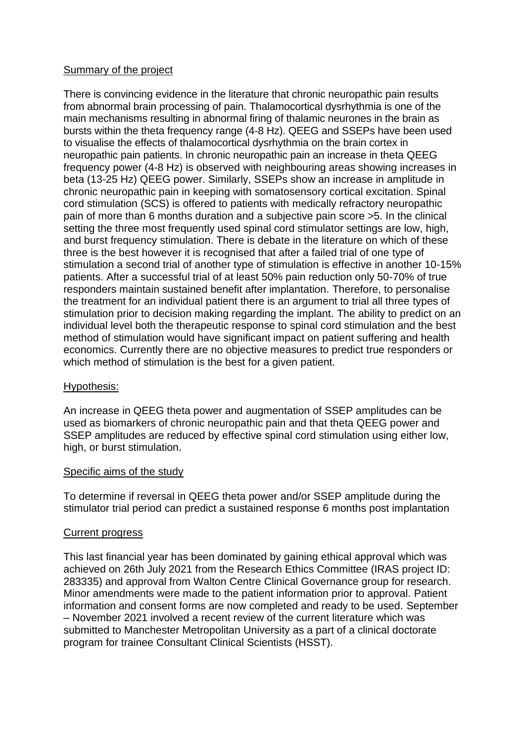## Summary of the project

There is convincing evidence in the literature that chronic neuropathic pain results from abnormal brain processing of pain. Thalamocortical dysrhythmia is one of the main mechanisms resulting in abnormal firing of thalamic neurones in the brain as bursts within the theta frequency range (4-8 Hz). QEEG and SSEPs have been used to visualise the effects of thalamocortical dysrhythmia on the brain cortex in neuropathic pain patients. In chronic neuropathic pain an increase in theta QEEG frequency power (4-8 Hz) is observed with neighbouring areas showing increases in beta (13-25 Hz) QEEG power. Similarly, SSEPs show an increase in amplitude in chronic neuropathic pain in keeping with somatosensory cortical excitation. Spinal cord stimulation (SCS) is offered to patients with medically refractory neuropathic pain of more than 6 months duration and a subjective pain score >5. In the clinical setting the three most frequently used spinal cord stimulator settings are low, high, and burst frequency stimulation. There is debate in the literature on which of these three is the best however it is recognised that after a failed trial of one type of stimulation a second trial of another type of stimulation is effective in another 10-15% patients. After a successful trial of at least 50% pain reduction only 50-70% of true responders maintain sustained benefit after implantation. Therefore, to personalise the treatment for an individual patient there is an argument to trial all three types of stimulation prior to decision making regarding the implant. The ability to predict on an individual level both the therapeutic response to spinal cord stimulation and the best method of stimulation would have significant impact on patient suffering and health economics. Currently there are no objective measures to predict true responders or which method of stimulation is the best for a given patient.

## Hypothesis:

An increase in QEEG theta power and augmentation of SSEP amplitudes can be used as biomarkers of chronic neuropathic pain and that theta QEEG power and SSEP amplitudes are reduced by effective spinal cord stimulation using either low, high, or burst stimulation.

## Specific aims of the study

To determine if reversal in QEEG theta power and/or SSEP amplitude during the stimulator trial period can predict a sustained response 6 months post implantation

## Current progress

This last financial year has been dominated by gaining ethical approval which was achieved on 26th July 2021 from the Research Ethics Committee (IRAS project ID: 283335) and approval from Walton Centre Clinical Governance group for research. Minor amendments were made to the patient information prior to approval. Patient information and consent forms are now completed and ready to be used. September – November 2021 involved a recent review of the current literature which was submitted to Manchester Metropolitan University as a part of a clinical doctorate program for trainee Consultant Clinical Scientists (HSST).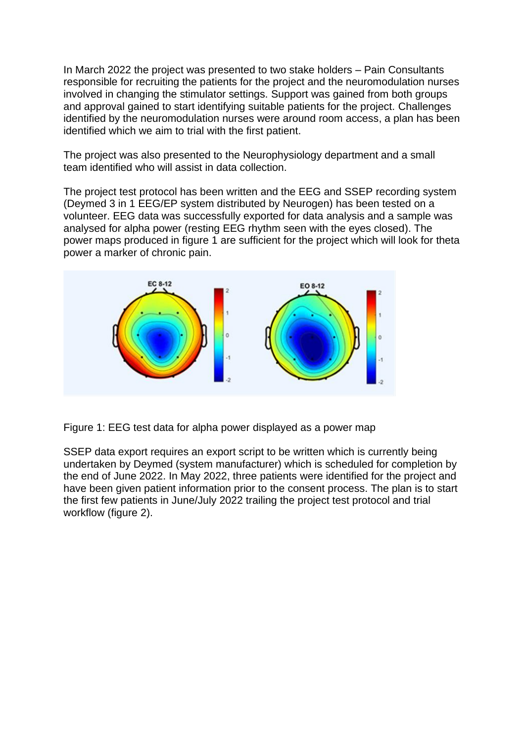In March 2022 the project was presented to two stake holders – Pain Consultants responsible for recruiting the patients for the project and the neuromodulation nurses involved in changing the stimulator settings. Support was gained from both groups and approval gained to start identifying suitable patients for the project. Challenges identified by the neuromodulation nurses were around room access, a plan has been identified which we aim to trial with the first patient.

The project was also presented to the Neurophysiology department and a small team identified who will assist in data collection.

The project test protocol has been written and the EEG and SSEP recording system (Deymed 3 in 1 EEG/EP system distributed by Neurogen) has been tested on a volunteer. EEG data was successfully exported for data analysis and a sample was analysed for alpha power (resting EEG rhythm seen with the eyes closed). The power maps produced in figure 1 are sufficient for the project which will look for theta power a marker of chronic pain.



Figure 1: EEG test data for alpha power displayed as a power map

SSEP data export requires an export script to be written which is currently being undertaken by Deymed (system manufacturer) which is scheduled for completion by the end of June 2022. In May 2022, three patients were identified for the project and have been given patient information prior to the consent process. The plan is to start the first few patients in June/July 2022 trailing the project test protocol and trial workflow (figure 2).